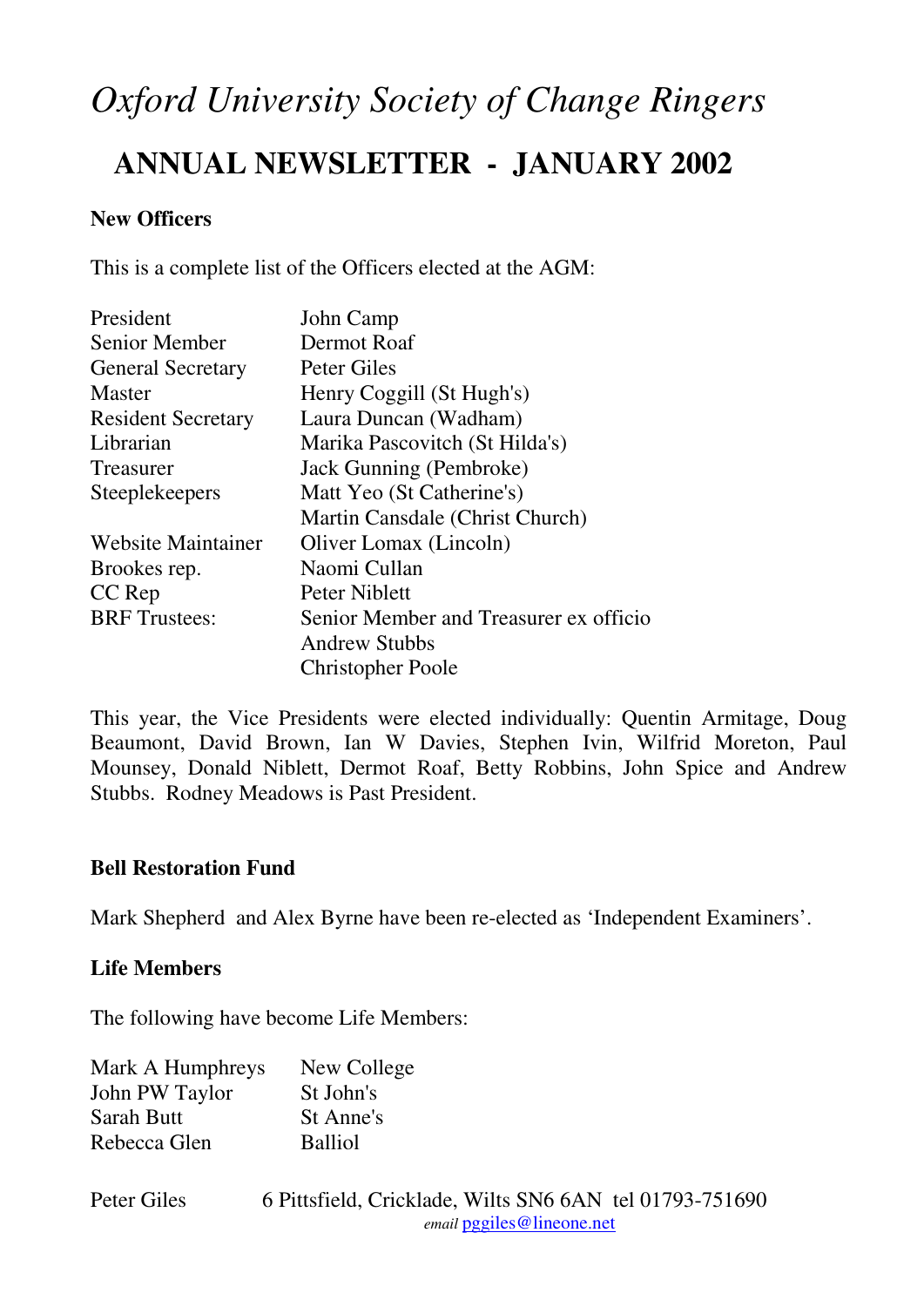# *Oxford University Society of Change Ringers*

# **ANNUAL NEWSLETTER - JANUARY 2002**

# **New Officers**

This is a complete list of the Officers elected at the AGM:

| President                 | John Camp                              |
|---------------------------|----------------------------------------|
| <b>Senior Member</b>      | Dermot Roaf                            |
| <b>General Secretary</b>  | Peter Giles                            |
| Master                    | Henry Coggill (St Hugh's)              |
| <b>Resident Secretary</b> | Laura Duncan (Wadham)                  |
| Librarian                 | Marika Pascovitch (St Hilda's)         |
| Treasurer                 | Jack Gunning (Pembroke)                |
| <b>Steeplekeepers</b>     | Matt Yeo (St Catherine's)              |
|                           | Martin Cansdale (Christ Church)        |
| <b>Website Maintainer</b> | Oliver Lomax (Lincoln)                 |
| Brookes rep.              | Naomi Cullan                           |
| CC Rep                    | Peter Niblett                          |
| <b>BRF</b> Trustees:      | Senior Member and Treasurer ex officio |
|                           | <b>Andrew Stubbs</b>                   |
|                           | <b>Christopher Poole</b>               |

This year, the Vice Presidents were elected individually: Quentin Armitage, Doug Beaumont, David Brown, Ian W Davies, Stephen Ivin, Wilfrid Moreton, Paul Mounsey, Donald Niblett, Dermot Roaf, Betty Robbins, John Spice and Andrew Stubbs. Rodney Meadows is Past President.

### **Bell Restoration Fund**

Mark Shepherd and Alex Byrne have been re-elected as 'Independent Examiners'.

### **Life Members**

The following have become Life Members:

| Mark A Humphreys | New College    |
|------------------|----------------|
| John PW Taylor   | St John's      |
| Sarah Butt       | St Anne's      |
| Rebecca Glen     | <b>Balliol</b> |

| Peter Giles | 6 Pittsfield, Cricklade, Wilts SN6 6AN tel 01793-751690 |
|-------------|---------------------------------------------------------|
|             | <i>email</i> pggiles@lineone.net                        |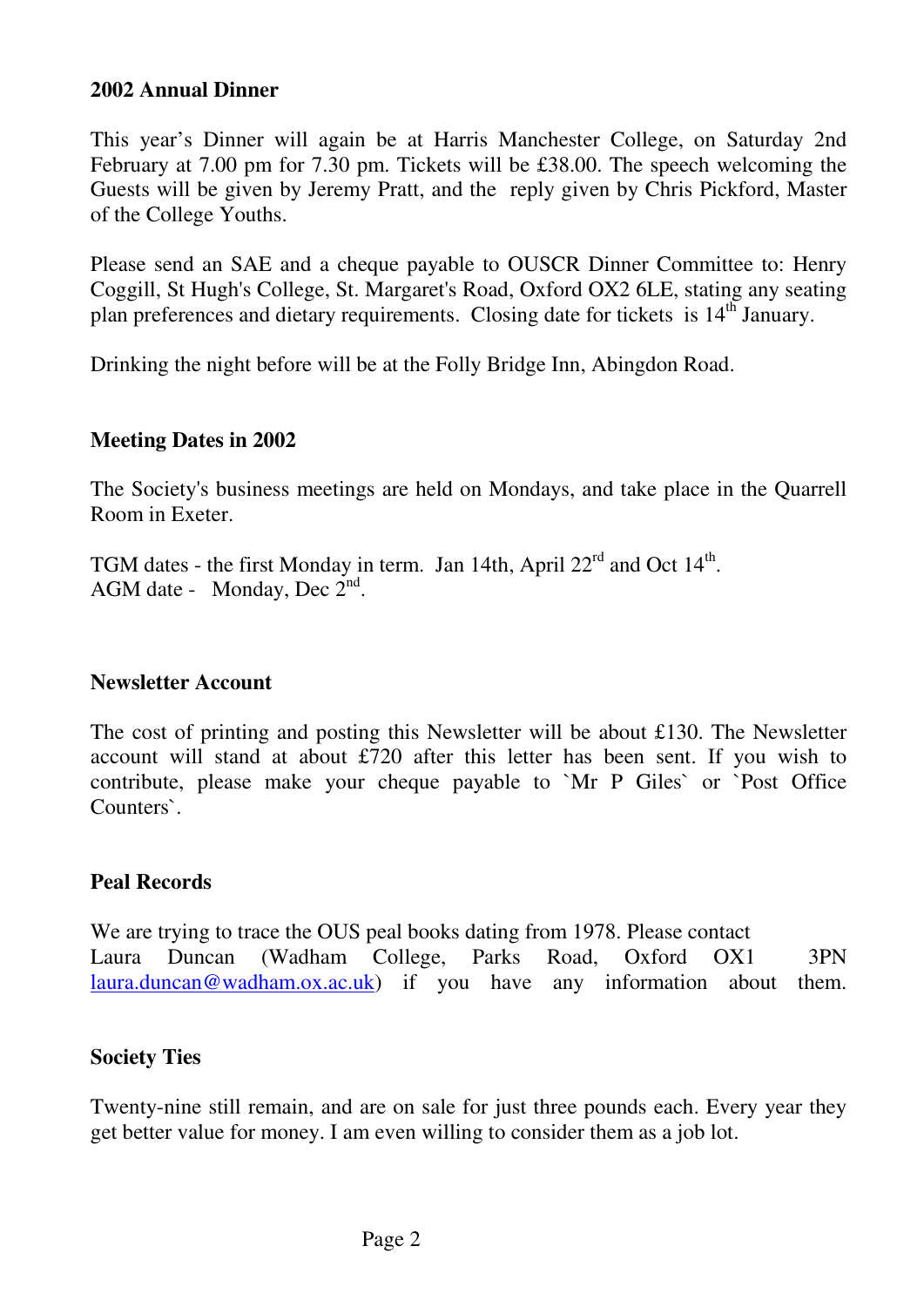#### **2002 Annual Dinner**

This year's Dinner will again be at Harris Manchester College, on Saturday 2nd February at 7.00 pm for 7.30 pm. Tickets will be £38.00. The speech welcoming the Guests will be given by Jeremy Pratt, and the reply given by Chris Pickford, Master of the College Youths.

Please send an SAE and a cheque payable to OUSCR Dinner Committee to: Henry Coggill, St Hugh's College, St. Margaret's Road, Oxford OX2 6LE, stating any seating plan preferences and dietary requirements. Closing date for tickets is 14<sup>th</sup> January.

Drinking the night before will be at the Folly Bridge Inn, Abingdon Road.

### **Meeting Dates in 2002**

The Society's business meetings are held on Mondays, and take place in the Quarrell Room in Exeter.

TGM dates - the first Monday in term. Jan 14th, April  $22<sup>rd</sup>$  and Oct  $14<sup>th</sup>$ . AGM date - Monday, Dec  $2^{nd}$ .

### **Newsletter Account**

The cost of printing and posting this Newsletter will be about £130. The Newsletter account will stand at about £720 after this letter has been sent. If you wish to contribute, please make your cheque payable to `Mr P Giles` or `Post Office Counters`.

### **Peal Records**

We are trying to trace the OUS peal books dating from 1978. Please contact Laura Duncan (Wadham College, Parks Road, Oxford OX1 3PN laura.duncan@wadham.ox.ac.uk) if you have any information about them.

### **Society Ties**

Twenty-nine still remain, and are on sale for just three pounds each. Every year they get better value for money. I am even willing to consider them as a job lot.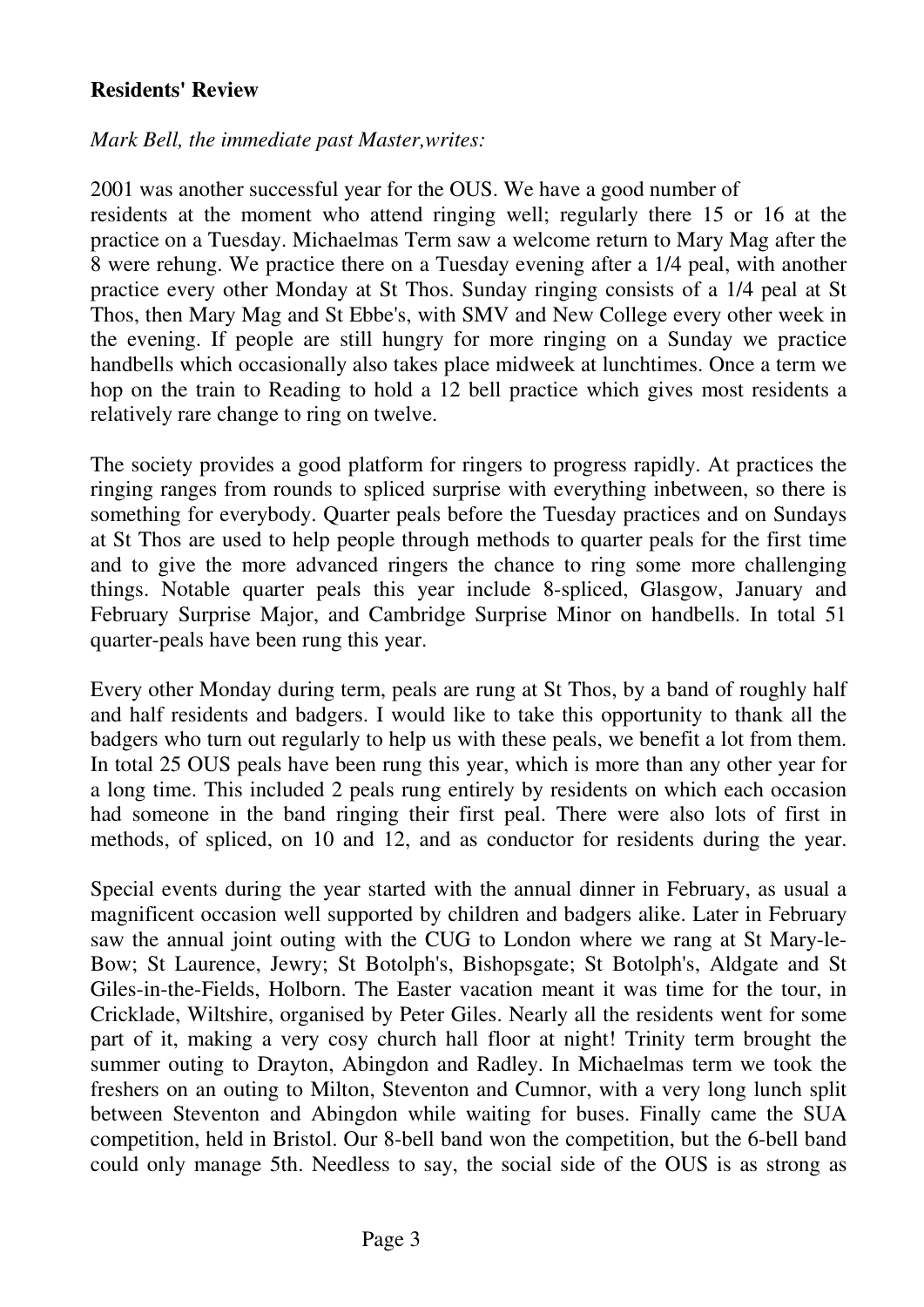# **Residents' Review**

### *Mark Bell, the immediate past Master,writes:*

2001 was another successful year for the OUS. We have a good number of residents at the moment who attend ringing well; regularly there 15 or 16 at the practice on a Tuesday. Michaelmas Term saw a welcome return to Mary Mag after the 8 were rehung. We practice there on a Tuesday evening after a 1/4 peal, with another practice every other Monday at St Thos. Sunday ringing consists of a 1/4 peal at St Thos, then Mary Mag and St Ebbe's, with SMV and New College every other week in the evening. If people are still hungry for more ringing on a Sunday we practice handbells which occasionally also takes place midweek at lunchtimes. Once a term we hop on the train to Reading to hold a 12 bell practice which gives most residents a relatively rare change to ring on twelve.

The society provides a good platform for ringers to progress rapidly. At practices the ringing ranges from rounds to spliced surprise with everything inbetween, so there is something for everybody. Quarter peals before the Tuesday practices and on Sundays at St Thos are used to help people through methods to quarter peals for the first time and to give the more advanced ringers the chance to ring some more challenging things. Notable quarter peals this year include 8-spliced, Glasgow, January and February Surprise Major, and Cambridge Surprise Minor on handbells. In total 51 quarter-peals have been rung this year.

Every other Monday during term, peals are rung at St Thos, by a band of roughly half and half residents and badgers. I would like to take this opportunity to thank all the badgers who turn out regularly to help us with these peals, we benefit a lot from them. In total 25 OUS peals have been rung this year, which is more than any other year for a long time. This included 2 peals rung entirely by residents on which each occasion had someone in the band ringing their first peal. There were also lots of first in methods, of spliced, on 10 and 12, and as conductor for residents during the year.

Special events during the year started with the annual dinner in February, as usual a magnificent occasion well supported by children and badgers alike. Later in February saw the annual joint outing with the CUG to London where we rang at St Mary-le-Bow; St Laurence, Jewry; St Botolph's, Bishopsgate; St Botolph's, Aldgate and St Giles-in-the-Fields, Holborn. The Easter vacation meant it was time for the tour, in Cricklade, Wiltshire, organised by Peter Giles. Nearly all the residents went for some part of it, making a very cosy church hall floor at night! Trinity term brought the summer outing to Drayton, Abingdon and Radley. In Michaelmas term we took the freshers on an outing to Milton, Steventon and Cumnor, with a very long lunch split between Steventon and Abingdon while waiting for buses. Finally came the SUA competition, held in Bristol. Our 8-bell band won the competition, but the 6-bell band could only manage 5th. Needless to say, the social side of the OUS is as strong as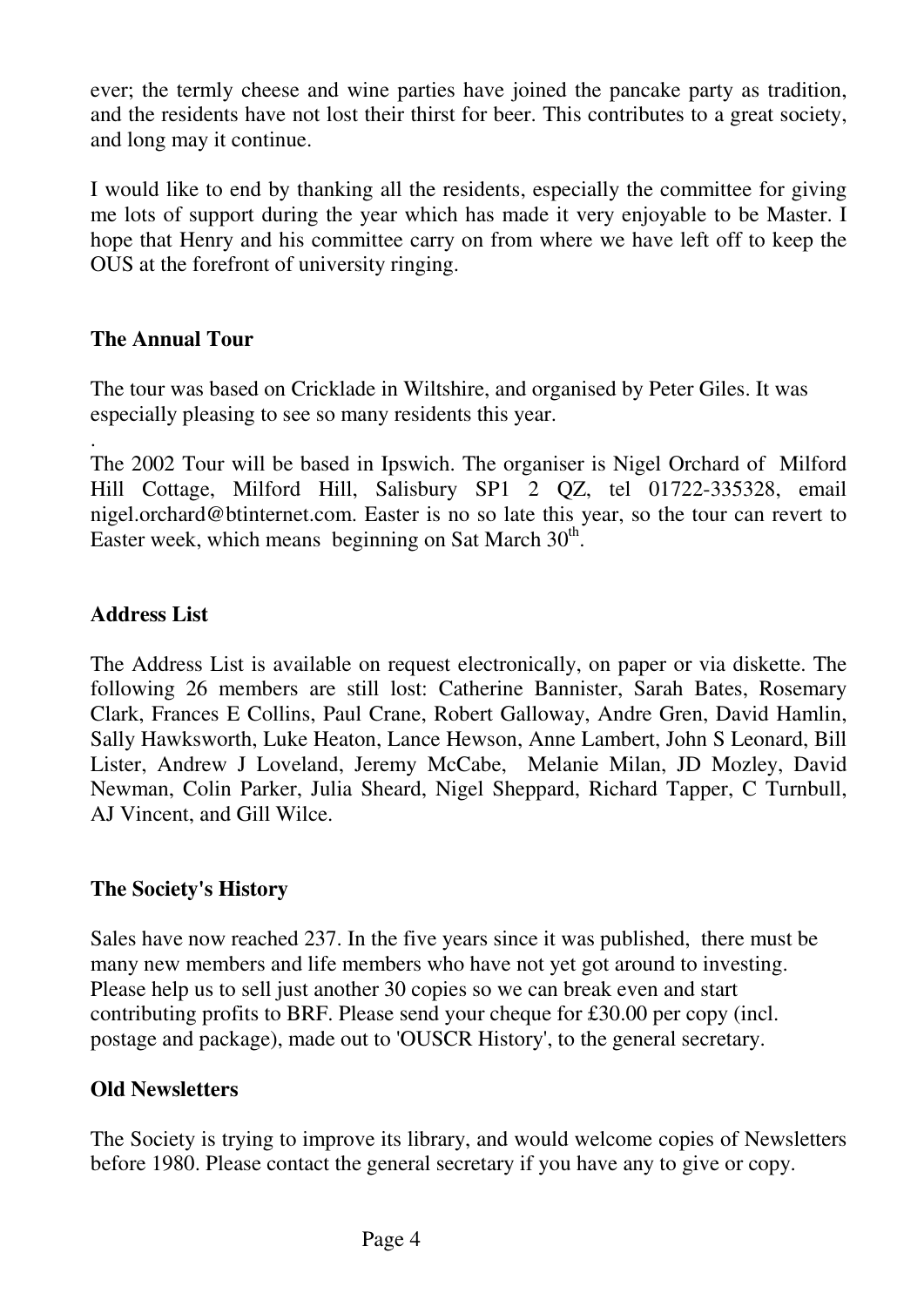ever; the termly cheese and wine parties have joined the pancake party as tradition, and the residents have not lost their thirst for beer. This contributes to a great society, and long may it continue.

I would like to end by thanking all the residents, especially the committee for giving me lots of support during the year which has made it very enjoyable to be Master. I hope that Henry and his committee carry on from where we have left off to keep the OUS at the forefront of university ringing.

# **The Annual Tour**

The tour was based on Cricklade in Wiltshire, and organised by Peter Giles. It was especially pleasing to see so many residents this year.

. The 2002 Tour will be based in Ipswich. The organiser is Nigel Orchard of Milford Hill Cottage, Milford Hill, Salisbury SP1 2 QZ, tel 01722-335328, email nigel.orchard@btinternet.com. Easter is no so late this year, so the tour can revert to Easter week, which means beginning on Sat March  $30<sup>th</sup>$ .

# **Address List**

The Address List is available on request electronically, on paper or via diskette. The following 26 members are still lost: Catherine Bannister, Sarah Bates, Rosemary Clark, Frances E Collins, Paul Crane, Robert Galloway, Andre Gren, David Hamlin, Sally Hawksworth, Luke Heaton, Lance Hewson, Anne Lambert, John S Leonard, Bill Lister, Andrew J Loveland, Jeremy McCabe, Melanie Milan, JD Mozley, David Newman, Colin Parker, Julia Sheard, Nigel Sheppard, Richard Tapper, C Turnbull, AJ Vincent, and Gill Wilce.

# **The Society's History**

Sales have now reached 237. In the five years since it was published, there must be many new members and life members who have not yet got around to investing. Please help us to sell just another 30 copies so we can break even and start contributing profits to BRF. Please send your cheque for £30.00 per copy (incl. postage and package), made out to 'OUSCR History', to the general secretary.

# **Old Newsletters**

The Society is trying to improve its library, and would welcome copies of Newsletters before 1980. Please contact the general secretary if you have any to give or copy.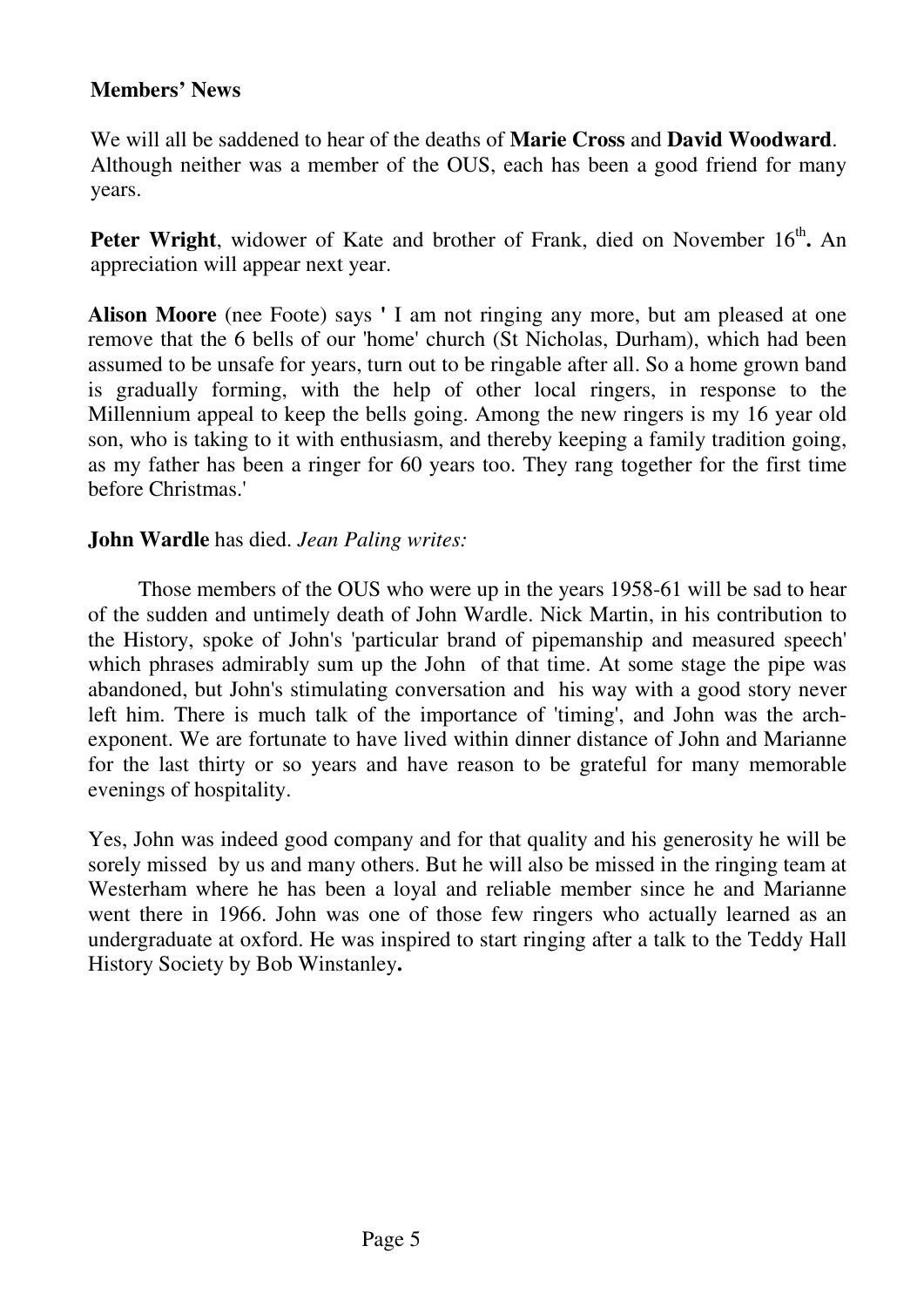# **Members' News**

We will all be saddened to hear of the deaths of **Marie Cross** and **David Woodward**. Although neither was a member of the OUS, each has been a good friend for many years.

Peter Wright, widower of Kate and brother of Frank, died on November 16<sup>th</sup>. An appreciation will appear next year.

**Alison Moore** (nee Foote) says **'** I am not ringing any more, but am pleased at one remove that the 6 bells of our 'home' church (St Nicholas, Durham), which had been assumed to be unsafe for years, turn out to be ringable after all. So a home grown band is gradually forming, with the help of other local ringers, in response to the Millennium appeal to keep the bells going. Among the new ringers is my 16 year old son, who is taking to it with enthusiasm, and thereby keeping a family tradition going, as my father has been a ringer for 60 years too. They rang together for the first time before Christmas.'

# **John Wardle** has died. *Jean Paling writes:*

 Those members of the OUS who were up in the years 1958-61 will be sad to hear of the sudden and untimely death of John Wardle. Nick Martin, in his contribution to the History, spoke of John's 'particular brand of pipemanship and measured speech' which phrases admirably sum up the John of that time. At some stage the pipe was abandoned, but John's stimulating conversation and his way with a good story never left him. There is much talk of the importance of 'timing', and John was the archexponent. We are fortunate to have lived within dinner distance of John and Marianne for the last thirty or so years and have reason to be grateful for many memorable evenings of hospitality.

Yes, John was indeed good company and for that quality and his generosity he will be sorely missed by us and many others. But he will also be missed in the ringing team at Westerham where he has been a loyal and reliable member since he and Marianne went there in 1966. John was one of those few ringers who actually learned as an undergraduate at oxford. He was inspired to start ringing after a talk to the Teddy Hall History Society by Bob Winstanley**.**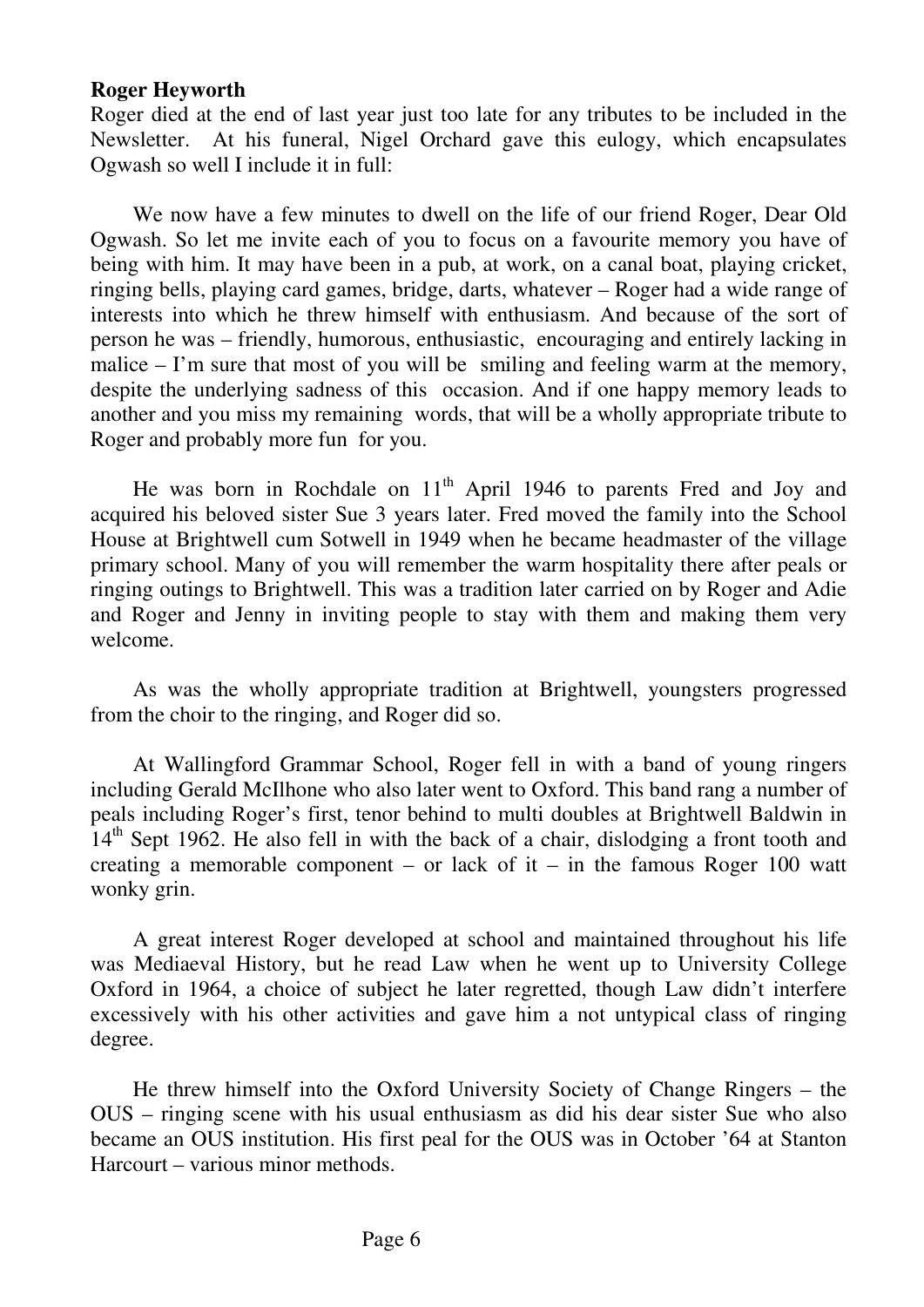#### **Roger Heyworth**

Roger died at the end of last year just too late for any tributes to be included in the Newsletter. At his funeral, Nigel Orchard gave this eulogy, which encapsulates Ogwash so well I include it in full:

We now have a few minutes to dwell on the life of our friend Roger, Dear Old Ogwash. So let me invite each of you to focus on a favourite memory you have of being with him. It may have been in a pub, at work, on a canal boat, playing cricket, ringing bells, playing card games, bridge, darts, whatever – Roger had a wide range of interests into which he threw himself with enthusiasm. And because of the sort of person he was – friendly, humorous, enthusiastic, encouraging and entirely lacking in malice – I'm sure that most of you will be smiling and feeling warm at the memory, despite the underlying sadness of this occasion. And if one happy memory leads to another and you miss my remaining words, that will be a wholly appropriate tribute to Roger and probably more fun for you.

He was born in Rochdale on  $11<sup>th</sup>$  April 1946 to parents Fred and Joy and acquired his beloved sister Sue 3 years later. Fred moved the family into the School House at Brightwell cum Sotwell in 1949 when he became headmaster of the village primary school. Many of you will remember the warm hospitality there after peals or ringing outings to Brightwell. This was a tradition later carried on by Roger and Adie and Roger and Jenny in inviting people to stay with them and making them very welcome.

As was the wholly appropriate tradition at Brightwell, youngsters progressed from the choir to the ringing, and Roger did so.

 At Wallingford Grammar School, Roger fell in with a band of young ringers including Gerald McIlhone who also later went to Oxford. This band rang a number of peals including Roger's first, tenor behind to multi doubles at Brightwell Baldwin in  $14<sup>th</sup>$  Sept 1962. He also fell in with the back of a chair, dislodging a front tooth and creating a memorable component – or lack of it – in the famous Roger 100 watt wonky grin.

 A great interest Roger developed at school and maintained throughout his life was Mediaeval History, but he read Law when he went up to University College Oxford in 1964, a choice of subject he later regretted, though Law didn't interfere excessively with his other activities and gave him a not untypical class of ringing degree.

He threw himself into the Oxford University Society of Change Ringers – the OUS – ringing scene with his usual enthusiasm as did his dear sister Sue who also became an OUS institution. His first peal for the OUS was in October '64 at Stanton Harcourt – various minor methods.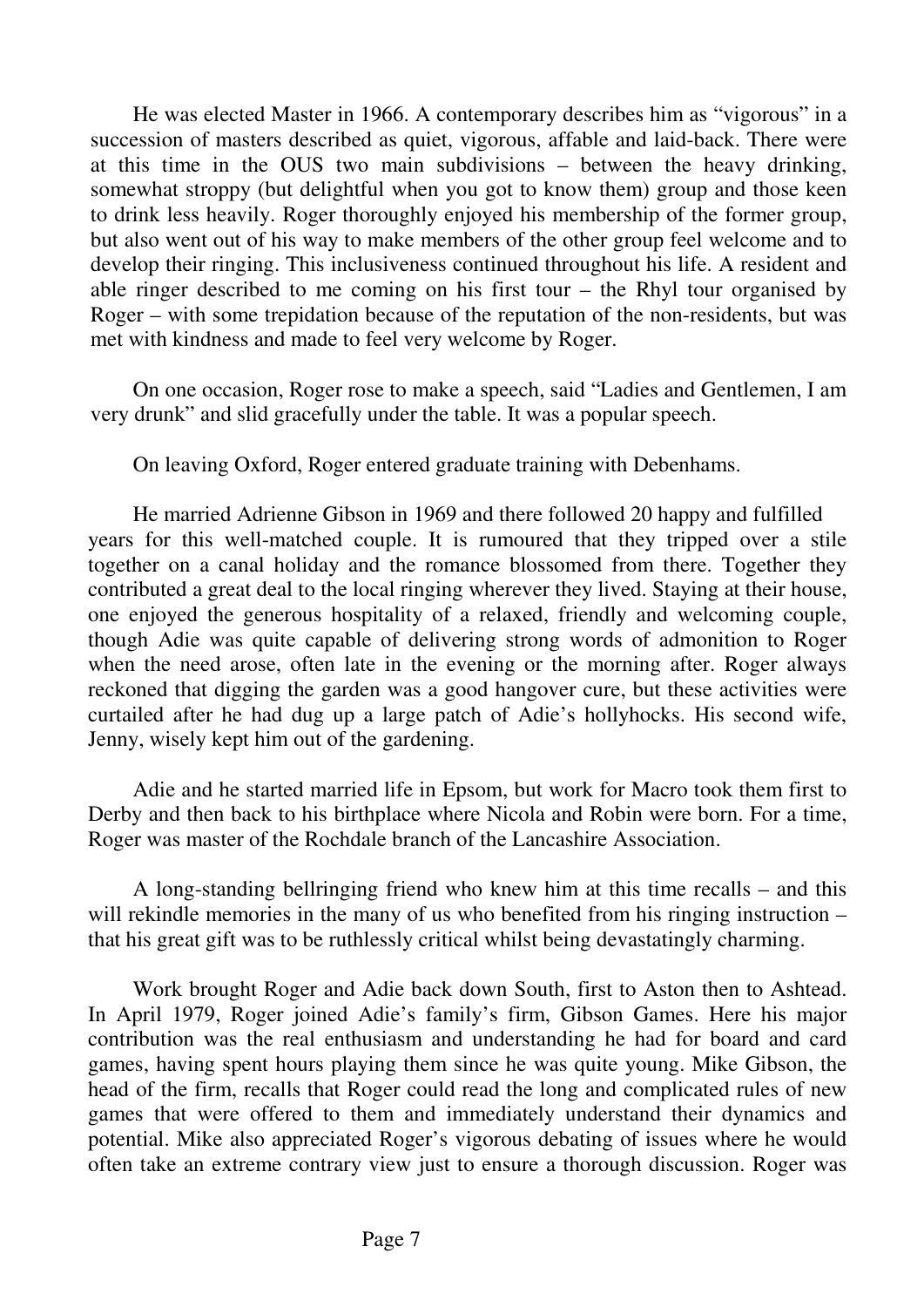He was elected Master in 1966. A contemporary describes him as "vigorous" in a succession of masters described as quiet, vigorous, affable and laid-back. There were at this time in the OUS two main subdivisions – between the heavy drinking, somewhat stroppy (but delightful when you got to know them) group and those keen to drink less heavily. Roger thoroughly enjoyed his membership of the former group, but also went out of his way to make members of the other group feel welcome and to develop their ringing. This inclusiveness continued throughout his life. A resident and able ringer described to me coming on his first tour – the Rhyl tour organised by Roger – with some trepidation because of the reputation of the non-residents, but was met with kindness and made to feel very welcome by Roger.

On one occasion, Roger rose to make a speech, said "Ladies and Gentlemen, I am very drunk" and slid gracefully under the table. It was a popular speech.

On leaving Oxford, Roger entered graduate training with Debenhams.

He married Adrienne Gibson in 1969 and there followed 20 happy and fulfilled years for this well-matched couple. It is rumoured that they tripped over a stile together on a canal holiday and the romance blossomed from there. Together they contributed a great deal to the local ringing wherever they lived. Staying at their house, one enjoyed the generous hospitality of a relaxed, friendly and welcoming couple, though Adie was quite capable of delivering strong words of admonition to Roger when the need arose, often late in the evening or the morning after. Roger always reckoned that digging the garden was a good hangover cure, but these activities were curtailed after he had dug up a large patch of Adie's hollyhocks. His second wife, Jenny, wisely kept him out of the gardening.

 Adie and he started married life in Epsom, but work for Macro took them first to Derby and then back to his birthplace where Nicola and Robin were born. For a time, Roger was master of the Rochdale branch of the Lancashire Association.

 A long-standing bellringing friend who knew him at this time recalls – and this will rekindle memories in the many of us who benefited from his ringing instruction – that his great gift was to be ruthlessly critical whilst being devastatingly charming.

 Work brought Roger and Adie back down South, first to Aston then to Ashtead. In April 1979, Roger joined Adie's family's firm, Gibson Games. Here his major contribution was the real enthusiasm and understanding he had for board and card games, having spent hours playing them since he was quite young. Mike Gibson, the head of the firm, recalls that Roger could read the long and complicated rules of new games that were offered to them and immediately understand their dynamics and potential. Mike also appreciated Roger's vigorous debating of issues where he would often take an extreme contrary view just to ensure a thorough discussion. Roger was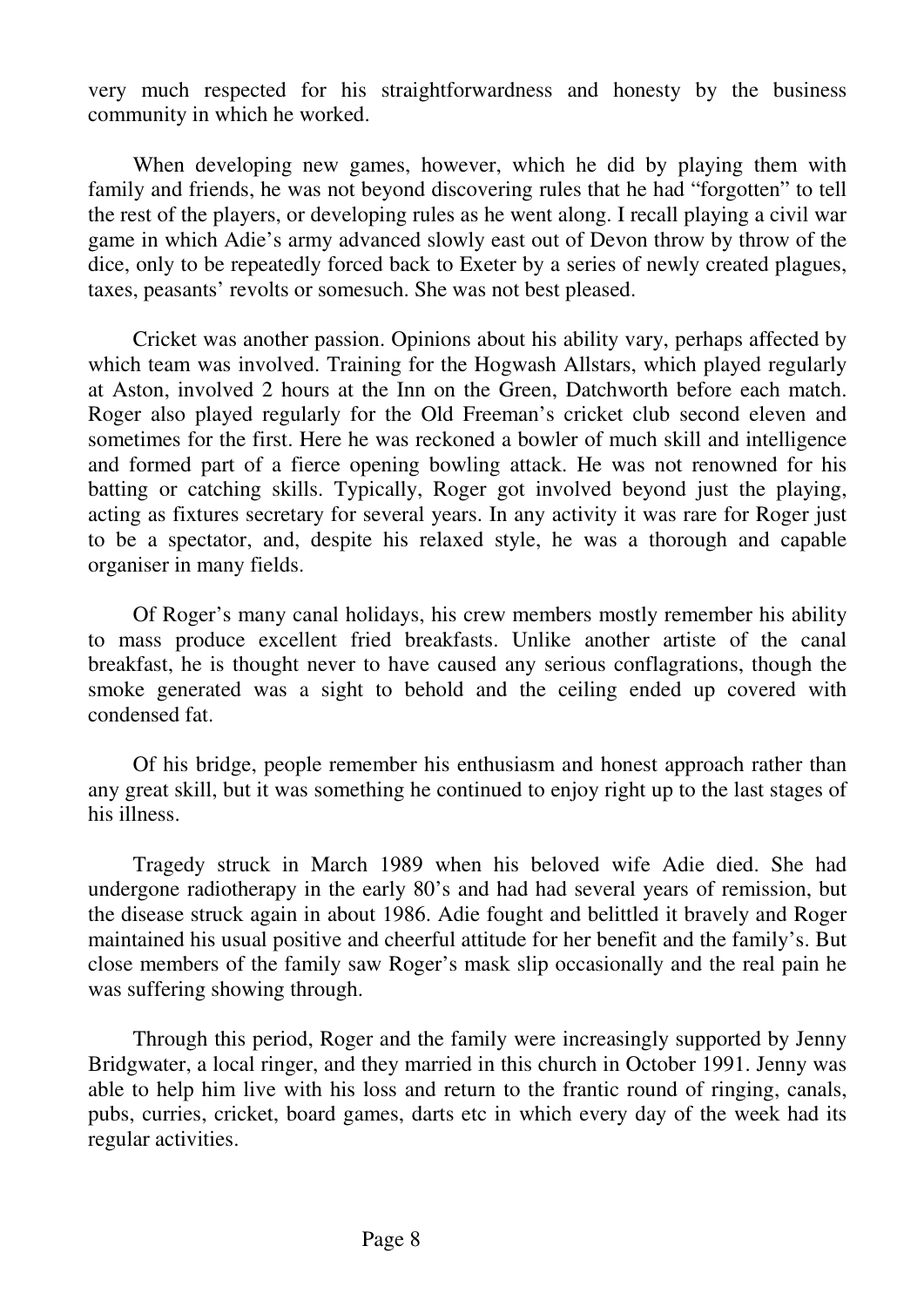very much respected for his straightforwardness and honesty by the business community in which he worked.

 When developing new games, however, which he did by playing them with family and friends, he was not beyond discovering rules that he had "forgotten" to tell the rest of the players, or developing rules as he went along. I recall playing a civil war game in which Adie's army advanced slowly east out of Devon throw by throw of the dice, only to be repeatedly forced back to Exeter by a series of newly created plagues, taxes, peasants' revolts or somesuch. She was not best pleased.

 Cricket was another passion. Opinions about his ability vary, perhaps affected by which team was involved. Training for the Hogwash Allstars, which played regularly at Aston, involved 2 hours at the Inn on the Green, Datchworth before each match. Roger also played regularly for the Old Freeman's cricket club second eleven and sometimes for the first. Here he was reckoned a bowler of much skill and intelligence and formed part of a fierce opening bowling attack. He was not renowned for his batting or catching skills. Typically, Roger got involved beyond just the playing, acting as fixtures secretary for several years. In any activity it was rare for Roger just to be a spectator, and, despite his relaxed style, he was a thorough and capable organiser in many fields.

 Of Roger's many canal holidays, his crew members mostly remember his ability to mass produce excellent fried breakfasts. Unlike another artiste of the canal breakfast, he is thought never to have caused any serious conflagrations, though the smoke generated was a sight to behold and the ceiling ended up covered with condensed fat.

 Of his bridge, people remember his enthusiasm and honest approach rather than any great skill, but it was something he continued to enjoy right up to the last stages of his illness.

 Tragedy struck in March 1989 when his beloved wife Adie died. She had undergone radiotherapy in the early 80's and had had several years of remission, but the disease struck again in about 1986. Adie fought and belittled it bravely and Roger maintained his usual positive and cheerful attitude for her benefit and the family's. But close members of the family saw Roger's mask slip occasionally and the real pain he was suffering showing through.

 Through this period, Roger and the family were increasingly supported by Jenny Bridgwater, a local ringer, and they married in this church in October 1991. Jenny was able to help him live with his loss and return to the frantic round of ringing, canals, pubs, curries, cricket, board games, darts etc in which every day of the week had its regular activities.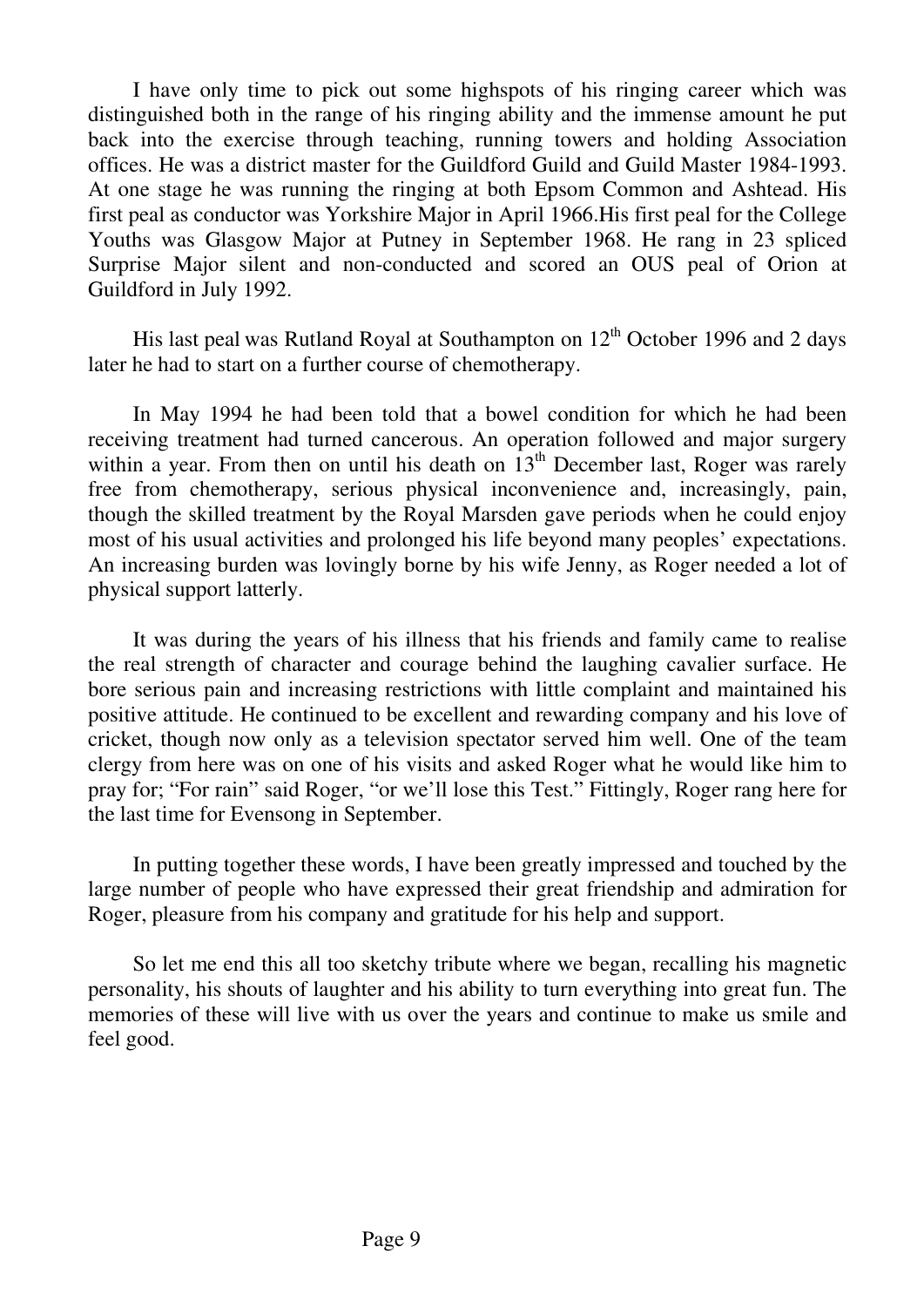I have only time to pick out some highspots of his ringing career which was distinguished both in the range of his ringing ability and the immense amount he put back into the exercise through teaching, running towers and holding Association offices. He was a district master for the Guildford Guild and Guild Master 1984-1993. At one stage he was running the ringing at both Epsom Common and Ashtead. His first peal as conductor was Yorkshire Major in April 1966.His first peal for the College Youths was Glasgow Major at Putney in September 1968. He rang in 23 spliced Surprise Major silent and non-conducted and scored an OUS peal of Orion at Guildford in July 1992.

His last peal was Rutland Royal at Southampton on  $12<sup>th</sup>$  October 1996 and 2 days later he had to start on a further course of chemotherapy.

 In May 1994 he had been told that a bowel condition for which he had been receiving treatment had turned cancerous. An operation followed and major surgery within a year. From then on until his death on  $13<sup>th</sup>$  December last, Roger was rarely free from chemotherapy, serious physical inconvenience and, increasingly, pain, though the skilled treatment by the Royal Marsden gave periods when he could enjoy most of his usual activities and prolonged his life beyond many peoples' expectations. An increasing burden was lovingly borne by his wife Jenny, as Roger needed a lot of physical support latterly.

 It was during the years of his illness that his friends and family came to realise the real strength of character and courage behind the laughing cavalier surface. He bore serious pain and increasing restrictions with little complaint and maintained his positive attitude. He continued to be excellent and rewarding company and his love of cricket, though now only as a television spectator served him well. One of the team clergy from here was on one of his visits and asked Roger what he would like him to pray for; "For rain" said Roger, "or we'll lose this Test." Fittingly, Roger rang here for the last time for Evensong in September.

 In putting together these words, I have been greatly impressed and touched by the large number of people who have expressed their great friendship and admiration for Roger, pleasure from his company and gratitude for his help and support.

 So let me end this all too sketchy tribute where we began, recalling his magnetic personality, his shouts of laughter and his ability to turn everything into great fun. The memories of these will live with us over the years and continue to make us smile and feel good.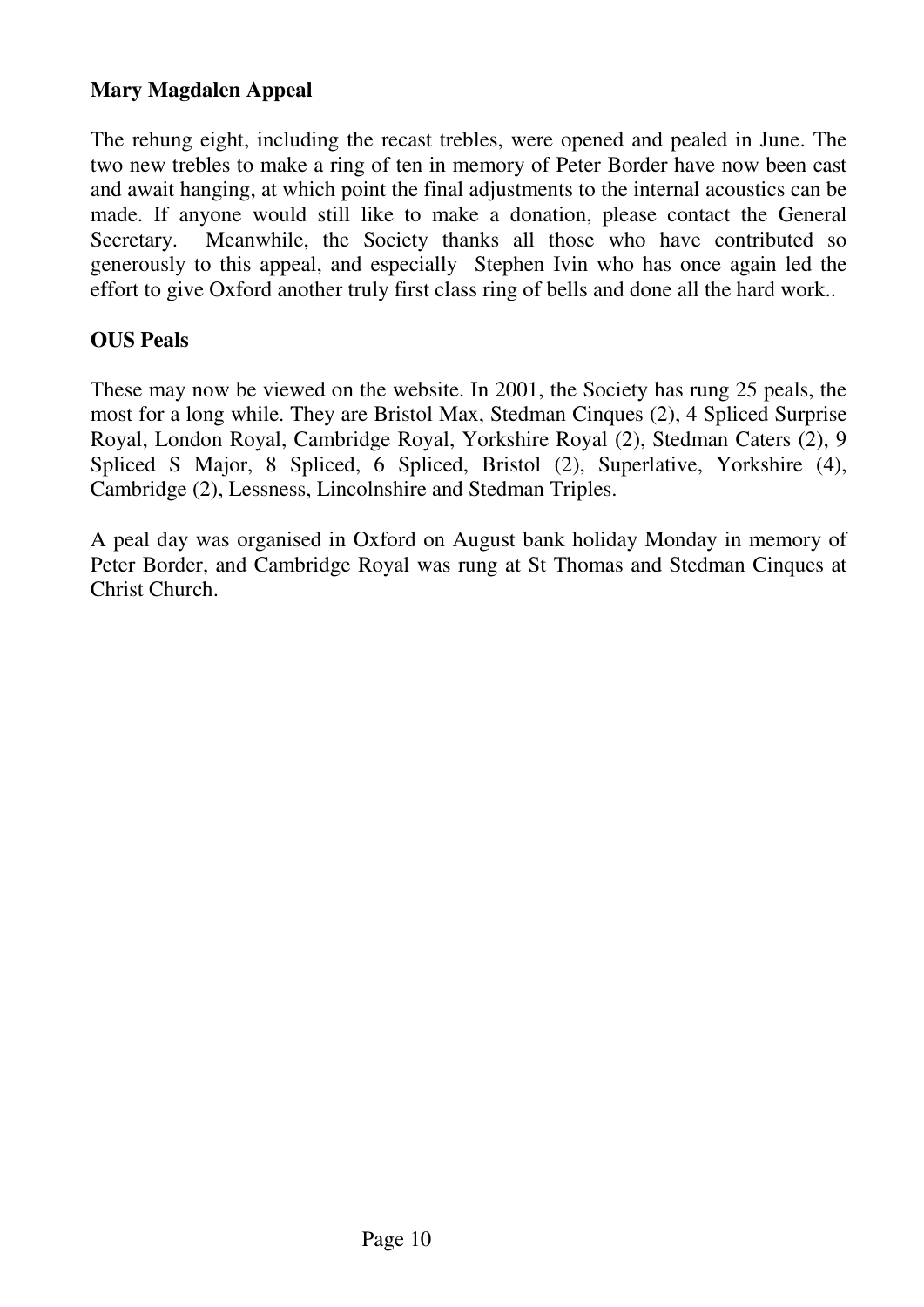# **Mary Magdalen Appeal**

The rehung eight, including the recast trebles, were opened and pealed in June. The two new trebles to make a ring of ten in memory of Peter Border have now been cast and await hanging, at which point the final adjustments to the internal acoustics can be made. If anyone would still like to make a donation, please contact the General Secretary. Meanwhile, the Society thanks all those who have contributed so generously to this appeal, and especially Stephen Ivin who has once again led the effort to give Oxford another truly first class ring of bells and done all the hard work..

# **OUS Peals**

These may now be viewed on the website. In 2001, the Society has rung 25 peals, the most for a long while. They are Bristol Max, Stedman Cinques (2), 4 Spliced Surprise Royal, London Royal, Cambridge Royal, Yorkshire Royal (2), Stedman Caters (2), 9 Spliced S Major, 8 Spliced, 6 Spliced, Bristol (2), Superlative, Yorkshire (4), Cambridge (2), Lessness, Lincolnshire and Stedman Triples.

A peal day was organised in Oxford on August bank holiday Monday in memory of Peter Border, and Cambridge Royal was rung at St Thomas and Stedman Cinques at Christ Church.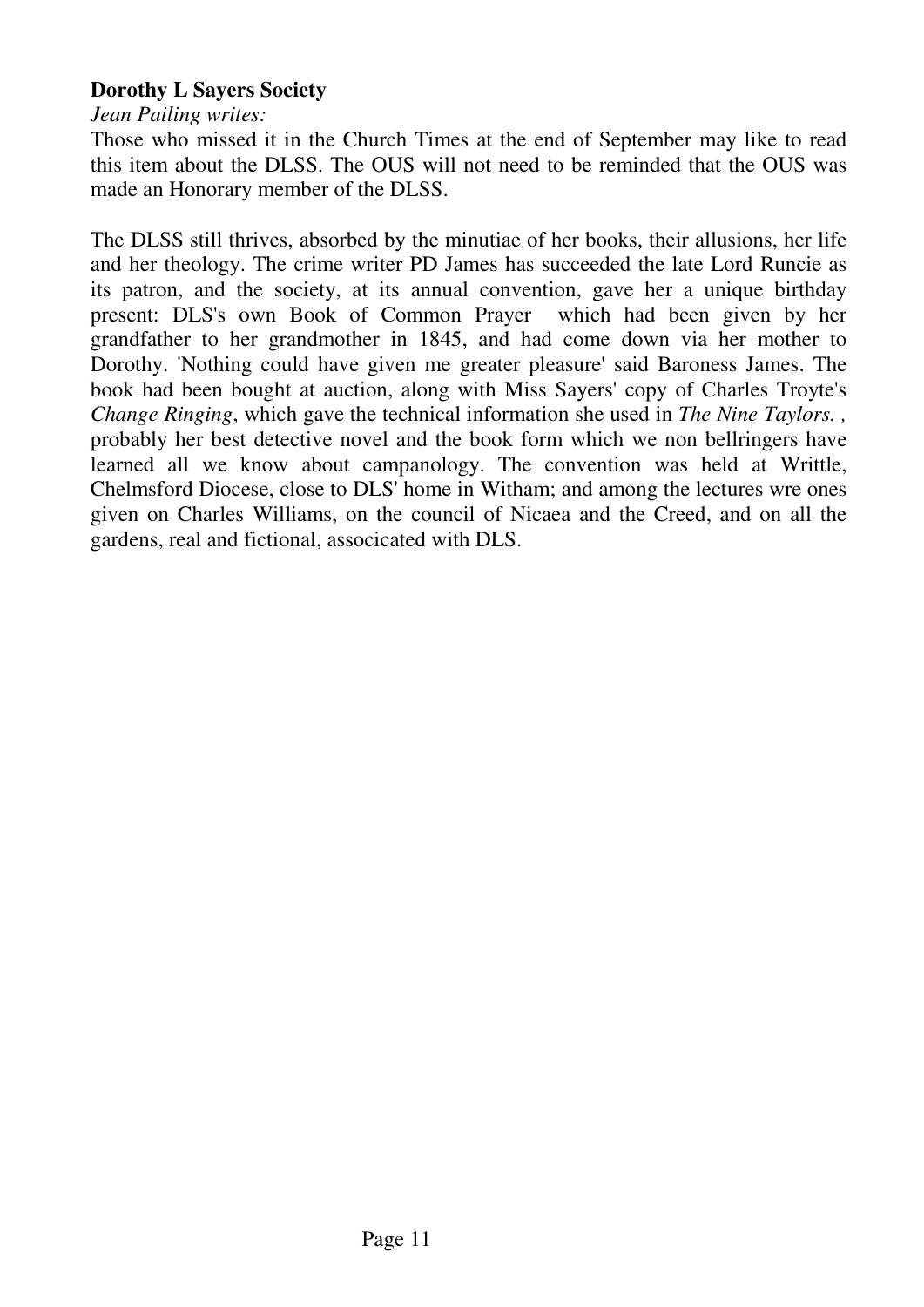# **Dorothy L Sayers Society**

*Jean Pailing writes:* 

Those who missed it in the Church Times at the end of September may like to read this item about the DLSS. The OUS will not need to be reminded that the OUS was made an Honorary member of the DLSS.

The DLSS still thrives, absorbed by the minutiae of her books, their allusions, her life and her theology. The crime writer PD James has succeeded the late Lord Runcie as its patron, and the society, at its annual convention, gave her a unique birthday present: DLS's own Book of Common Prayer which had been given by her grandfather to her grandmother in 1845, and had come down via her mother to Dorothy. 'Nothing could have given me greater pleasure' said Baroness James. The book had been bought at auction, along with Miss Sayers' copy of Charles Troyte's *Change Ringing*, which gave the technical information she used in *The Nine Taylors. ,*  probably her best detective novel and the book form which we non bellringers have learned all we know about campanology. The convention was held at Writtle, Chelmsford Diocese, close to DLS' home in Witham; and among the lectures wre ones given on Charles Williams, on the council of Nicaea and the Creed, and on all the gardens, real and fictional, associcated with DLS.